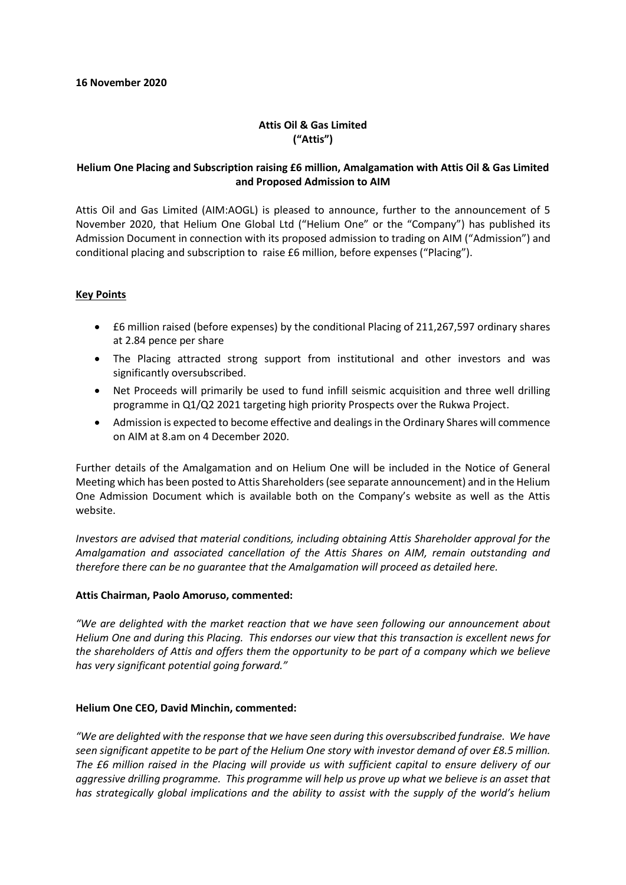# **Attis Oil & Gas Limited ("Attis")**

## **Helium One Placing and Subscription raising £6 million, Amalgamation with Attis Oil & Gas Limited and Proposed Admission to AIM**

Attis Oil and Gas Limited (AIM:AOGL) is pleased to announce, further to the announcement of 5 November 2020, that Helium One Global Ltd ("Helium One" or the "Company") has published its Admission Document in connection with its proposed admission to trading on AIM ("Admission") and conditional placing and subscription to raise £6 million, before expenses ("Placing").

### **Key Points**

- £6 million raised (before expenses) by the conditional Placing of 211,267,597 ordinary shares at 2.84 pence per share
- The Placing attracted strong support from institutional and other investors and was significantly oversubscribed.
- Net Proceeds will primarily be used to fund infill seismic acquisition and three well drilling programme in Q1/Q2 2021 targeting high priority Prospects over the Rukwa Project.
- Admission is expected to become effective and dealings in the Ordinary Shares will commence on AIM at 8.am on 4 December 2020.

Further details of the Amalgamation and on Helium One will be included in the Notice of General Meeting which has been posted to Attis Shareholders (see separate announcement) and in the Helium One Admission Document which is available both on the Company's website as well as the Attis website.

*Investors are advised that material conditions, including obtaining Attis Shareholder approval for the Amalgamation and associated cancellation of the Attis Shares on AIM, remain outstanding and therefore there can be no guarantee that the Amalgamation will proceed as detailed here.* 

### **Attis Chairman, Paolo Amoruso, commented:**

*"We are delighted with the market reaction that we have seen following our announcement about Helium One and during this Placing. This endorses our view that this transaction is excellent news for the shareholders of Attis and offers them the opportunity to be part of a company which we believe has very significant potential going forward."*

### **Helium One CEO, David Minchin, commented:**

*"We are delighted with the response that we have seen during this oversubscribed fundraise. We have seen significant appetite to be part of the Helium One story with investor demand of over £8.5 million. The £6 million raised in the Placing will provide us with sufficient capital to ensure delivery of our aggressive drilling programme. This programme will help us prove up what we believe is an asset that has strategically global implications and the ability to assist with the supply of the world's helium*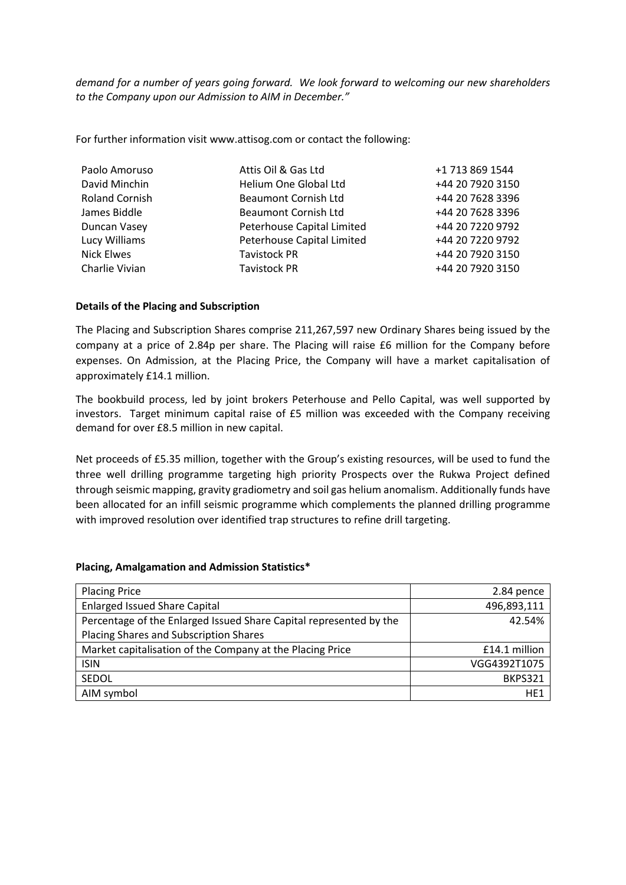*demand for a number of years going forward. We look forward to welcoming our new shareholders to the Company upon our Admission to AIM in December."* 

For further information visit www.attisog.com or contact the following:

| Attis Oil & Gas Ltd         | +1 713 869 1544  |
|-----------------------------|------------------|
| Helium One Global Ltd       | +44 20 7920 3150 |
| <b>Beaumont Cornish Ltd</b> | +44 20 7628 3396 |
| <b>Beaumont Cornish Ltd</b> | +44 20 7628 3396 |
| Peterhouse Capital Limited  | +44 20 7220 9792 |
| Peterhouse Capital Limited  | +44 20 7220 9792 |
| <b>Tavistock PR</b>         | +44 20 7920 3150 |
| <b>Tavistock PR</b>         | +44 20 7920 3150 |
|                             |                  |

### **Details of the Placing and Subscription**

The Placing and Subscription Shares comprise 211,267,597 new Ordinary Shares being issued by the company at a price of 2.84p per share. The Placing will raise £6 million for the Company before expenses. On Admission, at the Placing Price, the Company will have a market capitalisation of approximately £14.1 million.

The bookbuild process, led by joint brokers Peterhouse and Pello Capital, was well supported by investors. Target minimum capital raise of £5 million was exceeded with the Company receiving demand for over £8.5 million in new capital.

Net proceeds of £5.35 million, together with the Group's existing resources, will be used to fund the three well drilling programme targeting high priority Prospects over the Rukwa Project defined through seismic mapping, gravity gradiometry and soil gas helium anomalism. Additionally funds have been allocated for an infill seismic programme which complements the planned drilling programme with improved resolution over identified trap structures to refine drill targeting.

#### **Placing, Amalgamation and Admission Statistics\***

| <b>Placing Price</b>                                               | 2.84 pence      |
|--------------------------------------------------------------------|-----------------|
| <b>Enlarged Issued Share Capital</b>                               | 496,893,111     |
| Percentage of the Enlarged Issued Share Capital represented by the | 42.54%          |
| Placing Shares and Subscription Shares                             |                 |
| Market capitalisation of the Company at the Placing Price          | £14.1 million   |
| <b>ISIN</b>                                                        | VGG4392T1075    |
| SEDOL                                                              | <b>BKPS321</b>  |
| AIM symbol                                                         | HE <sub>1</sub> |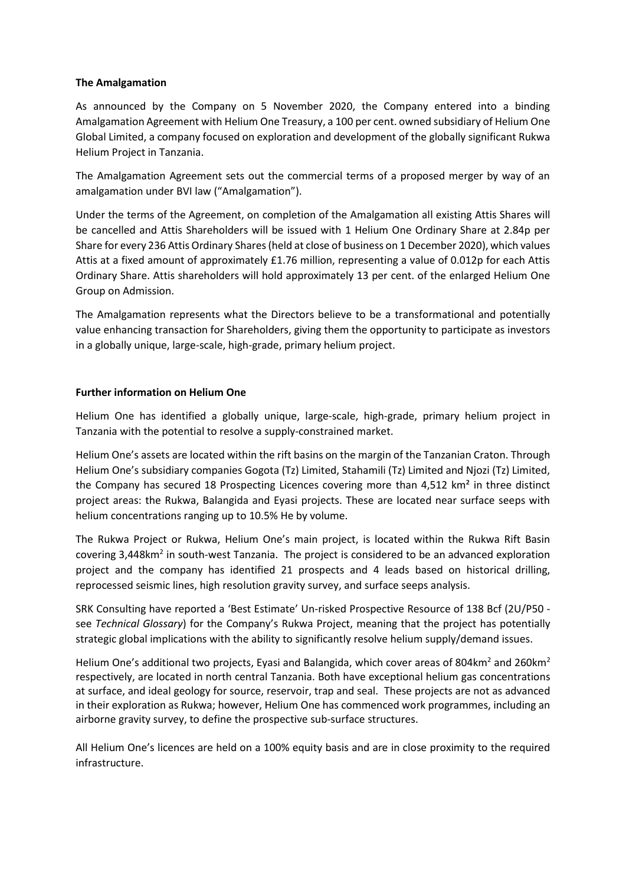### **The Amalgamation**

As announced by the Company on 5 November 2020, the Company entered into a binding Amalgamation Agreement with Helium One Treasury, a 100 per cent. owned subsidiary of Helium One Global Limited, a company focused on exploration and development of the globally significant Rukwa Helium Project in Tanzania.

The Amalgamation Agreement sets out the commercial terms of a proposed merger by way of an amalgamation under BVI law ("Amalgamation").

Under the terms of the Agreement, on completion of the Amalgamation all existing Attis Shares will be cancelled and Attis Shareholders will be issued with 1 Helium One Ordinary Share at 2.84p per Share for every 236 Attis Ordinary Shares (held at close of business on 1 December 2020), which values Attis at a fixed amount of approximately £1.76 million, representing a value of 0.012p for each Attis Ordinary Share. Attis shareholders will hold approximately 13 per cent. of the enlarged Helium One Group on Admission.

The Amalgamation represents what the Directors believe to be a transformational and potentially value enhancing transaction for Shareholders, giving them the opportunity to participate as investors in a globally unique, large-scale, high-grade, primary helium project.

### **Further information on Helium One**

Helium One has identified a globally unique, large-scale, high-grade, primary helium project in Tanzania with the potential to resolve a supply-constrained market.

Helium One's assets are located within the rift basins on the margin of the Tanzanian Craton. Through Helium One's subsidiary companies Gogota (Tz) Limited, Stahamili (Tz) Limited and Njozi (Tz) Limited, the Company has secured 18 Prospecting Licences covering more than 4,512 km<sup>2</sup> in three distinct project areas: the Rukwa, Balangida and Eyasi projects. These are located near surface seeps with helium concentrations ranging up to 10.5% He by volume.

The Rukwa Project or Rukwa, Helium One's main project, is located within the Rukwa Rift Basin covering 3,448km<sup>2</sup> in south-west Tanzania. The project is considered to be an advanced exploration project and the company has identified 21 prospects and 4 leads based on historical drilling, reprocessed seismic lines, high resolution gravity survey, and surface seeps analysis.

SRK Consulting have reported a 'Best Estimate' Un-risked Prospective Resource of 138 Bcf (2U/P50 see *Technical Glossary*) for the Company's Rukwa Project, meaning that the project has potentially strategic global implications with the ability to significantly resolve helium supply/demand issues.

Helium One's additional two projects, Eyasi and Balangida, which cover areas of 804km<sup>2</sup> and 260km<sup>2</sup> respectively, are located in north central Tanzania. Both have exceptional helium gas concentrations at surface, and ideal geology for source, reservoir, trap and seal. These projects are not as advanced in their exploration as Rukwa; however, Helium One has commenced work programmes, including an airborne gravity survey, to define the prospective sub-surface structures.

All Helium One's licences are held on a 100% equity basis and are in close proximity to the required infrastructure.